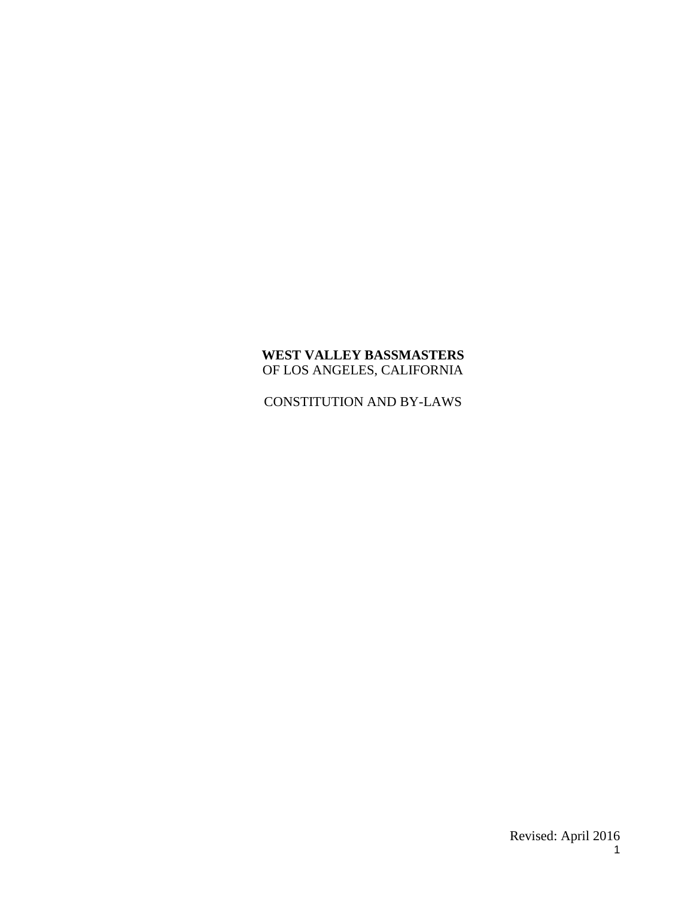## **WEST VALLEY BASSMASTERS** OF LOS ANGELES, CALIFORNIA

CONSTITUTION AND BY-LAWS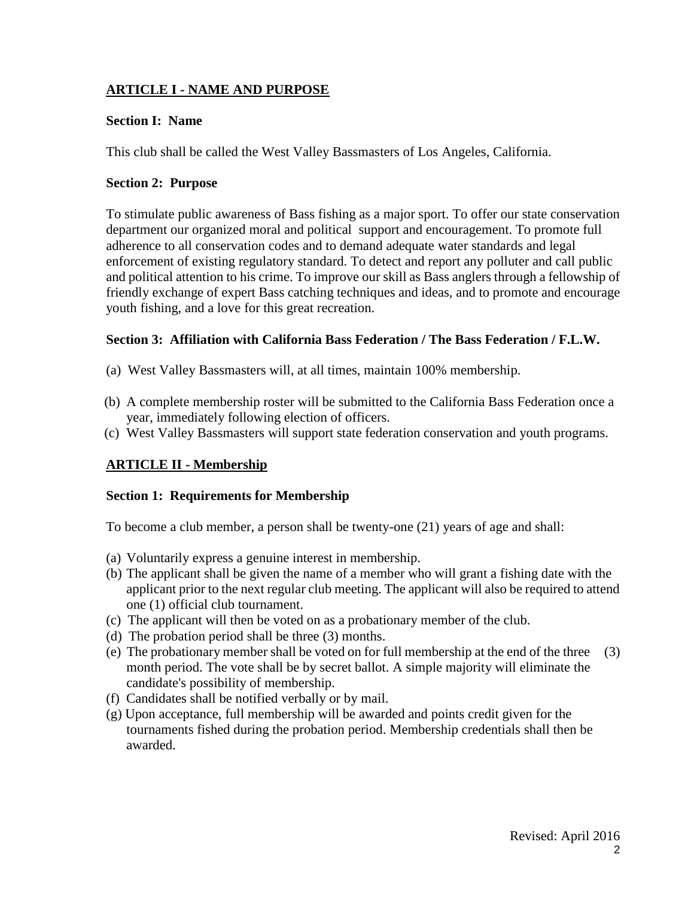# **ARTICLE I - NAME AND PURPOSE**

## **Section I: Name**

This club shall be called the West Valley Bassmasters of Los Angeles, California.

## **Section 2: Purpose**

To stimulate public awareness of Bass fishing as a major sport. To offer our state conservation department our organized moral and political support and encouragement. To promote full adherence to all conservation codes and to demand adequate water standards and legal enforcement of existing regulatory standard. To detect and report any polluter and call public and political attention to his crime. To improve our skill as Bass anglers through a fellowship of friendly exchange of expert Bass catching techniques and ideas, and to promote and encourage youth fishing, and a love for this great recreation.

## **Section 3: Affiliation with California Bass Federation / The Bass Federation / F.L.W.**

- (a) West Valley Bassmasters will, at all times, maintain 100% membership.
- (b) A complete membership roster will be submitted to the California Bass Federation once a year, immediately following election of officers.
- (c) West Valley Bassmasters will support state federation conservation and youth programs.

# **ARTICLE II - Membership**

### **Section 1: Requirements for Membership**

To become a club member, a person shall be twenty-one (21) years of age and shall:

- (a) Voluntarily express a genuine interest in membership.
- (b) The applicant shall be given the name of a member who will grant a fishing date with the applicant prior to the next regular club meeting. The applicant will also be required to attend one (1) official club tournament.
- (c) The applicant will then be voted on as a probationary member of the club.
- (d) The probation period shall be three (3) months.
- (e) The probationary member shall be voted on for full membership at the end of the three (3) month period. The vote shall be by secret ballot. A simple majority will eliminate the candidate's possibility of membership.
- (f) Candidates shall be notified verbally or by mail.
- (g) Upon acceptance, full membership will be awarded and points credit given for the tournaments fished during the probation period. Membership credentials shall then be awarded.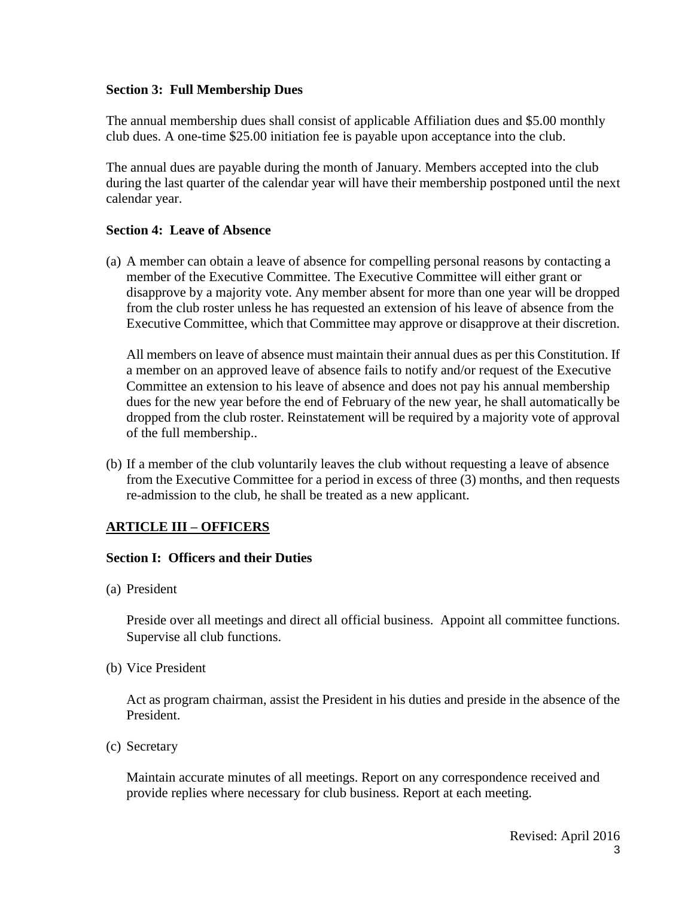### **Section 3: Full Membership Dues**

The annual membership dues shall consist of applicable Affiliation dues and \$5.00 monthly club dues. A one-time \$25.00 initiation fee is payable upon acceptance into the club.

The annual dues are payable during the month of January. Members accepted into the club during the last quarter of the calendar year will have their membership postponed until the next calendar year.

### **Section 4: Leave of Absence**

(a) A member can obtain a leave of absence for compelling personal reasons by contacting a member of the Executive Committee. The Executive Committee will either grant or disapprove by a majority vote. Any member absent for more than one year will be dropped from the club roster unless he has requested an extension of his leave of absence from the Executive Committee, which that Committee may approve or disapprove at their discretion.

All members on leave of absence must maintain their annual dues as per this Constitution. If a member on an approved leave of absence fails to notify and/or request of the Executive Committee an extension to his leave of absence and does not pay his annual membership dues for the new year before the end of February of the new year, he shall automatically be dropped from the club roster. Reinstatement will be required by a majority vote of approval of the full membership..

(b) If a member of the club voluntarily leaves the club without requesting a leave of absence from the Executive Committee for a period in excess of three (3) months, and then requests re-admission to the club, he shall be treated as a new applicant.

# **ARTICLE III – OFFICERS**

### **Section I: Officers and their Duties**

(a) President

Preside over all meetings and direct all official business. Appoint all committee functions. Supervise all club functions.

(b) Vice President

Act as program chairman, assist the President in his duties and preside in the absence of the President.

(c) Secretary

Maintain accurate minutes of all meetings. Report on any correspondence received and provide replies where necessary for club business. Report at each meeting.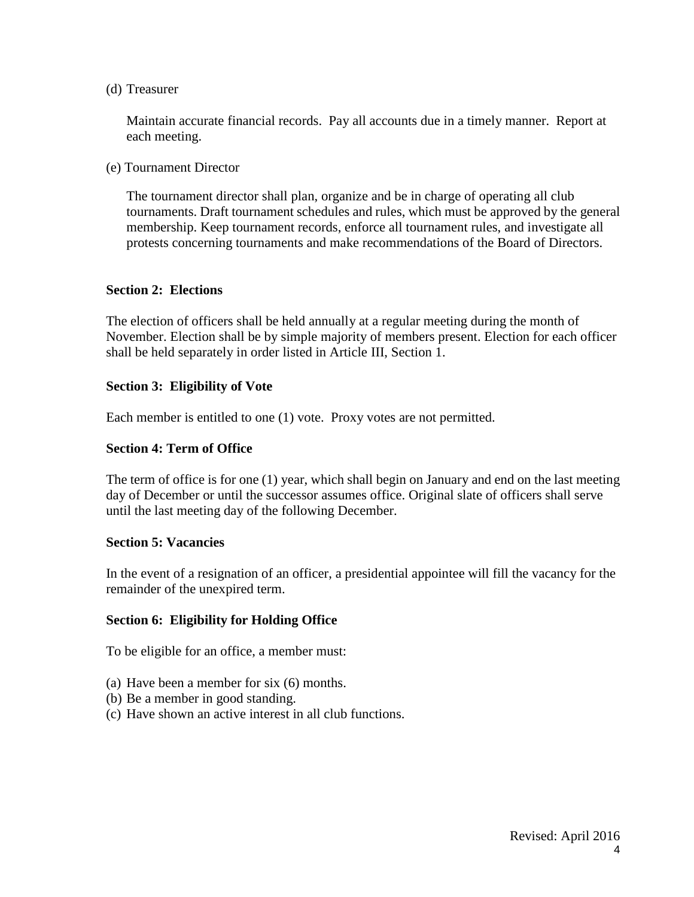### (d) Treasurer

Maintain accurate financial records. Pay all accounts due in a timely manner. Report at each meeting.

(e) Tournament Director

The tournament director shall plan, organize and be in charge of operating all club tournaments. Draft tournament schedules and rules, which must be approved by the general membership. Keep tournament records, enforce all tournament rules, and investigate all protests concerning tournaments and make recommendations of the Board of Directors.

### **Section 2: Elections**

The election of officers shall be held annually at a regular meeting during the month of November. Election shall be by simple majority of members present. Election for each officer shall be held separately in order listed in Article III, Section 1.

### **Section 3: Eligibility of Vote**

Each member is entitled to one (1) vote. Proxy votes are not permitted.

### **Section 4: Term of Office**

The term of office is for one (1) year, which shall begin on January and end on the last meeting day of December or until the successor assumes office. Original slate of officers shall serve until the last meeting day of the following December.

#### **Section 5: Vacancies**

In the event of a resignation of an officer, a presidential appointee will fill the vacancy for the remainder of the unexpired term.

### **Section 6: Eligibility for Holding Office**

To be eligible for an office, a member must:

- (a) Have been a member for six (6) months.
- (b) Be a member in good standing.
- (c) Have shown an active interest in all club functions.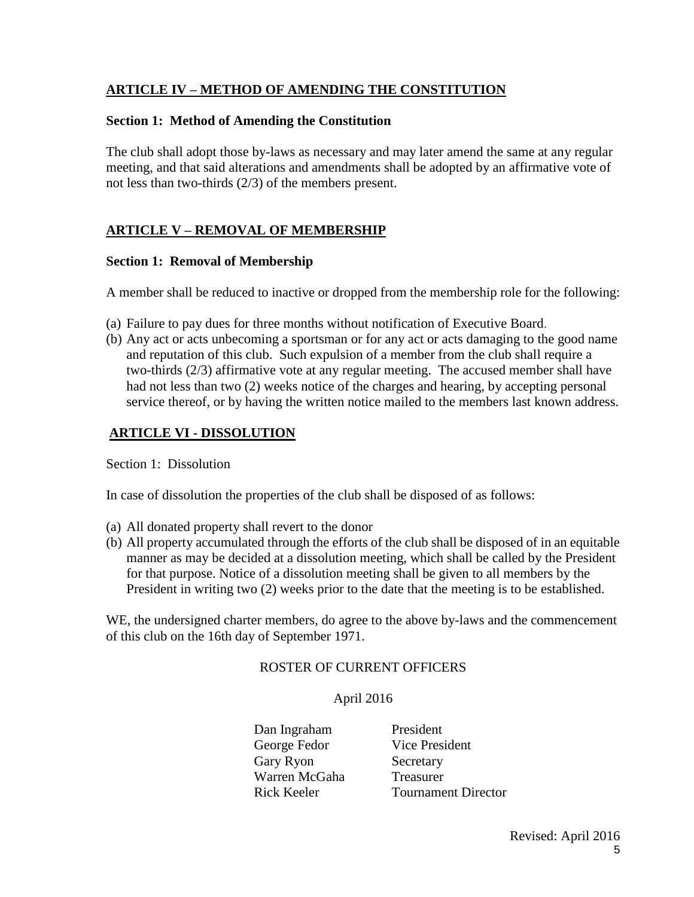## **ARTICLE IV – METHOD OF AMENDING THE CONSTITUTION**

### **Section 1: Method of Amending the Constitution**

The club shall adopt those by-laws as necessary and may later amend the same at any regular meeting, and that said alterations and amendments shall be adopted by an affirmative vote of not less than two-thirds (2/3) of the members present.

# **ARTICLE V – REMOVAL OF MEMBERSHIP**

### **Section 1: Removal of Membership**

A member shall be reduced to inactive or dropped from the membership role for the following:

- (a) Failure to pay dues for three months without notification of Executive Board.
- (b) Any act or acts unbecoming a sportsman or for any act or acts damaging to the good name and reputation of this club. Such expulsion of a member from the club shall require a two-thirds (2/3) affirmative vote at any regular meeting. The accused member shall have had not less than two (2) weeks notice of the charges and hearing, by accepting personal service thereof, or by having the written notice mailed to the members last known address.

# **ARTICLE VI - DISSOLUTION**

Section 1: Dissolution

In case of dissolution the properties of the club shall be disposed of as follows:

- (a) All donated property shall revert to the donor
- (b) All property accumulated through the efforts of the club shall be disposed of in an equitable manner as may be decided at a dissolution meeting, which shall be called by the President for that purpose. Notice of a dissolution meeting shall be given to all members by the President in writing two (2) weeks prior to the date that the meeting is to be established.

WE, the undersigned charter members, do agree to the above by-laws and the commencement of this club on the 16th day of September 1971.

### ROSTER OF CURRENT OFFICERS

### April 2016

Dan Ingraham President George Fedor Vice President Gary Ryon Secretary Warren McGaha Treasurer Rick Keeler Tournament Director